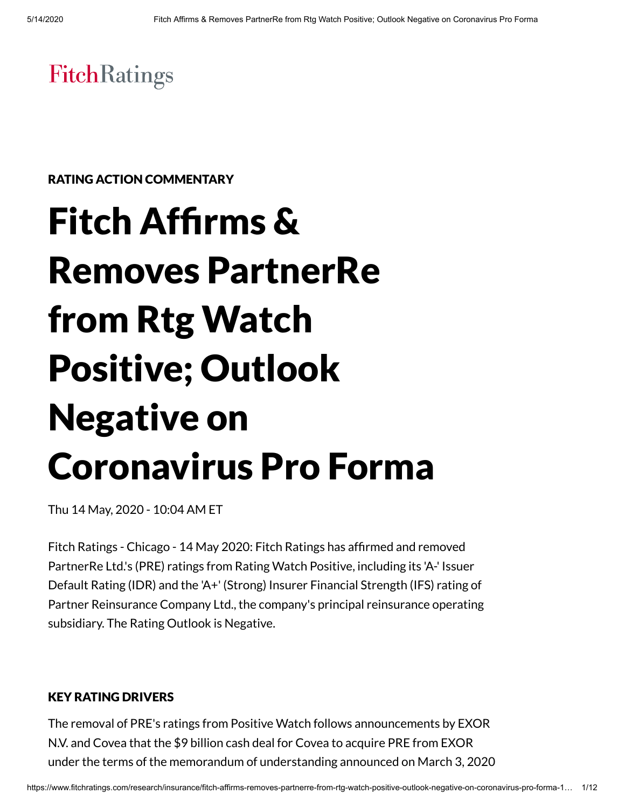# **FitchRatings**

RATING ACTION COMMENTARY

# Fitch Affirms & Removes PartnerRe from Rtg Watch Positive; Outlook Negative on Coronavirus Pro Forma

Thu 14 May, 2020 - 10:04 AM ET

Fitch Ratings - Chicago - 14 May 2020: Fitch Ratings has affirmed and removed PartnerRe Ltd.'s (PRE) ratings from Rating Watch Positive, including its 'A-' Issuer Default Rating (IDR) and the 'A+' (Strong) Insurer Financial Strength (IFS) rating of Partner Reinsurance Company Ltd., the company's principal reinsurance operating subsidiary. The Rating Outlook is Negative.

# KEY RATING DRIVERS

The removal of PRE's ratings from Positive Watch follows announcements by EXOR N.V. and Covea that the \$9 billion cash deal for Covea to acquire PRE from EXOR under the terms of the memorandum of understanding announced on March 3, 2020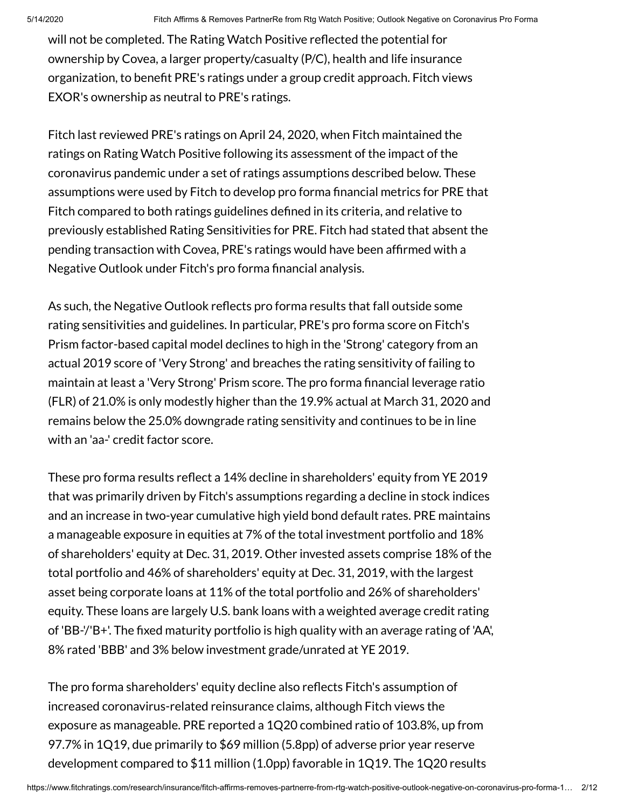will not be completed. The Rating Watch Positive reflected the potential for ownership by Covea, a larger property/casualty (P/C), health and life insurance organization, to benefit PRE's ratings under a group credit approach. Fitch views EXOR's ownership as neutral to PRE's ratings.

Fitch last reviewed PRE's ratings on April 24, 2020, when Fitch maintained the ratings on Rating Watch Positive following its assessment of the impact of the coronavirus pandemic under a set of ratings assumptions described below. These assumptions were used by Fitch to develop pro forma financial metrics for PRE that Fitch compared to both ratings guidelines defined in its criteria, and relative to previously established Rating Sensitivities for PRE. Fitch had stated that absent the pending transaction with Covea, PRE's ratings would have been affirmed with a Negative Outlook under Fitch's pro forma financial analysis.

As such, the Negative Outlook reflects pro forma results that fall outside some rating sensitivities and guidelines. In particular, PRE's pro forma score on Fitch's Prism factor-based capital model declines to high in the 'Strong' category from an actual 2019 score of 'Very Strong' and breaches the rating sensitivity of failing to maintain at least a 'Very Strong' Prism score. The pro forma financial leverage ratio (FLR) of 21.0% is only modestly higher than the 19.9% actual at March 31, 2020 and remains below the 25.0% downgrade rating sensitivity and continues to be in line with an 'aa-' credit factor score.

These pro forma results reflect a 14% decline in shareholders' equity from YE 2019 that was primarily driven by Fitch's assumptions regarding a decline in stock indices and an increase in two-year cumulative high yield bond default rates. PRE maintains a manageable exposure in equities at 7% of the total investment portfolio and 18% of shareholders' equity at Dec. 31, 2019. Other invested assets comprise 18% of the total portfolio and 46% of shareholders' equity at Dec. 31, 2019, with the largest asset being corporate loans at 11% of the total portfolio and 26% of shareholders' equity. These loans are largely U.S. bank loans with a weighted average credit rating of 'BB-'/'B+'. The fixed maturity portfolio is high quality with an average rating of 'AA', 8% rated 'BBB' and 3% below investment grade/unrated at YE 2019.

The pro forma shareholders' equity decline also reflects Fitch's assumption of increased coronavirus-related reinsurance claims, although Fitch views the exposure as manageable. PRE reported a 1Q20 combined ratio of 103.8%, up from 97.7% in 1Q19, due primarily to \$69 million (5.8pp) of adverse prior year reserve development compared to \$11 million (1.0pp) favorable in 1Q19. The 1Q20 results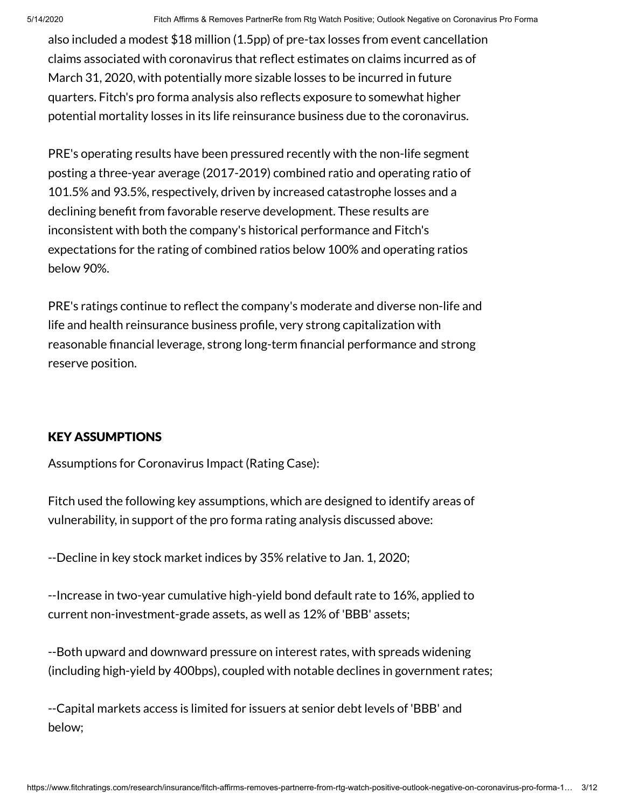also included a modest \$18 million (1.5pp) of pre-tax losses from event cancellation claims associated with coronavirus that reflect estimates on claims incurred as of March 31, 2020, with potentially more sizable losses to be incurred in future quarters. Fitch's pro forma analysis also reflects exposure to somewhat higher potential mortality losses in its life reinsurance business due to the coronavirus.

PRE's operating results have been pressured recently with the non-life segment posting a three-year average (2017-2019) combined ratio and operating ratio of 101.5% and 93.5%, respectively, driven by increased catastrophe losses and a declining benefit from favorable reserve development. These results are inconsistent with both the company's historical performance and Fitch's expectations for the rating of combined ratios below 100% and operating ratios below 90%.

PRE's ratings continue to reflect the company's moderate and diverse non-life and life and health reinsurance business profile, very strong capitalization with reasonable financial leverage, strong long-term financial performance and strong reserve position.

#### KEY ASSUMPTIONS

Assumptions for Coronavirus Impact (Rating Case):

Fitch used the following key assumptions, which are designed to identify areas of vulnerability, in support of the pro forma rating analysis discussed above:

--Decline in key stock market indices by 35% relative to Jan. 1, 2020;

--Increase in two-year cumulative high-yield bond default rate to 16%, applied to current non-investment-grade assets, as well as 12% of 'BBB' assets;

--Both upward and downward pressure on interest rates, with spreads widening (including high-yield by 400bps), coupled with notable declines in government rates;

--Capital markets access is limited for issuers at senior debt levels of 'BBB' and below;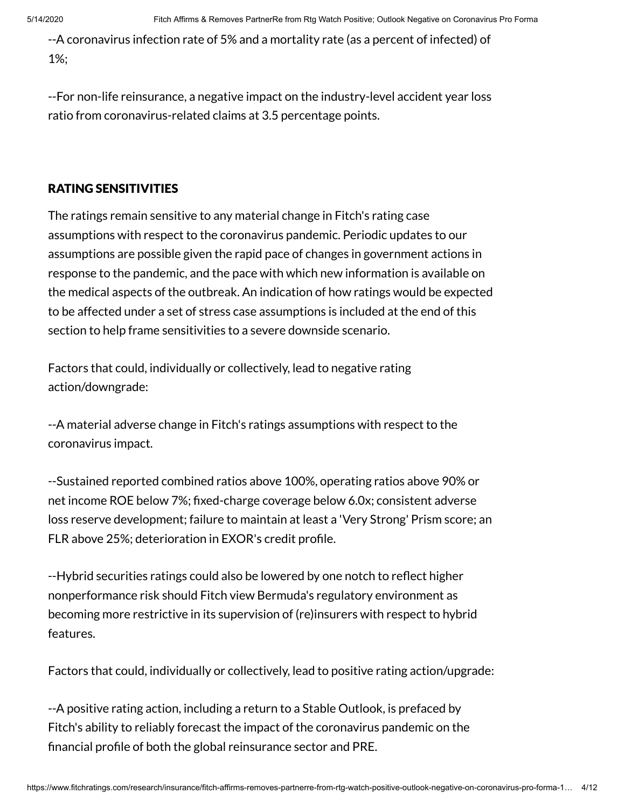--A coronavirus infection rate of 5% and a mortality rate (as a percent of infected) of 1%;

--For non-life reinsurance, a negative impact on the industry-level accident year loss ratio from coronavirus-related claims at 3.5 percentage points.

# RATING SENSITIVITIES

The ratings remain sensitive to any material change in Fitch's rating case assumptions with respect to the coronavirus pandemic. Periodic updates to our assumptions are possible given the rapid pace of changes in government actions in response to the pandemic, and the pace with which new information is available on the medical aspects of the outbreak. An indication of how ratings would be expected to be affected under a set of stress case assumptions is included at the end of this section to help frame sensitivities to a severe downside scenario.

Factors that could, individually or collectively, lead to negative rating action/downgrade:

--A material adverse change in Fitch's ratings assumptions with respect to the coronavirus impact.

--Sustained reported combined ratios above 100%, operating ratios above 90% or net income ROE below 7%; fixed-charge coverage below 6.0x; consistent adverse loss reserve development; failure to maintain at least a 'Very Strong' Prism score; an FLR above 25%; deterioration in EXOR's credit profile.

--Hybrid securities ratings could also be lowered by one notch to reflect higher nonperformance risk should Fitch view Bermuda's regulatory environment as becoming more restrictive in its supervision of (re)insurers with respect to hybrid features.

Factors that could, individually or collectively, lead to positive rating action/upgrade:

--A positive rating action, including a return to a Stable Outlook, is prefaced by Fitch's ability to reliably forecast the impact of the coronavirus pandemic on the financial profile of both the global reinsurance sector and PRE.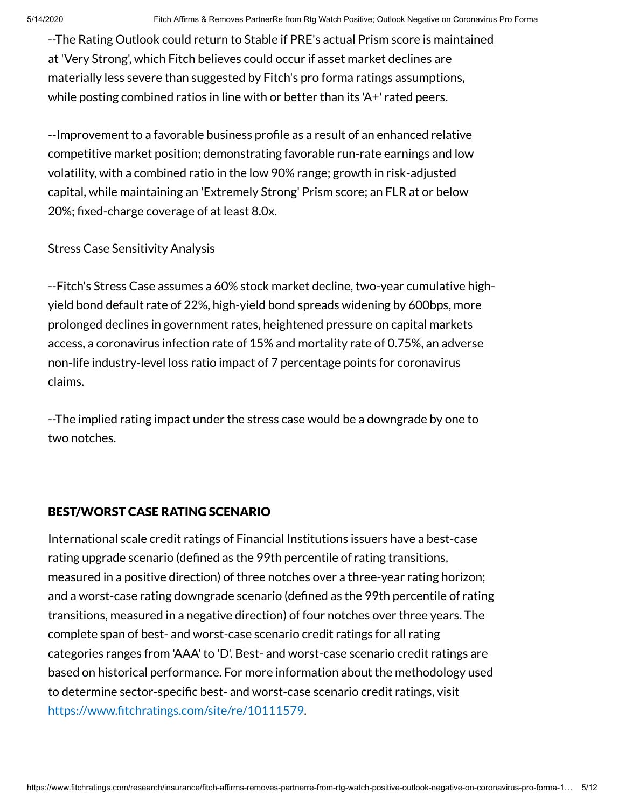--The Rating Outlook could return to Stable if PRE's actual Prism score is maintained at 'Very Strong', which Fitch believes could occur if asset market declines are materially less severe than suggested by Fitch's pro forma ratings assumptions, while posting combined ratios in line with or better than its 'A+' rated peers.

--Improvement to a favorable business profile as a result of an enhanced relative competitive market position; demonstrating favorable run-rate earnings and low volatility, with a combined ratio in the low 90% range; growth in risk-adjusted capital, while maintaining an 'Extremely Strong' Prism score; an FLR at or below 20%; fixed-charge coverage of at least 8.0x.

#### Stress Case Sensitivity Analysis

--Fitch's Stress Case assumes a 60% stock market decline, two-year cumulative highyield bond default rate of 22%, high-yield bond spreads widening by 600bps, more prolonged declines in government rates, heightened pressure on capital markets access, a coronavirus infection rate of 15% and mortality rate of 0.75%, an adverse non-life industry-level loss ratio impact of 7 percentage points for coronavirus claims.

--The implied rating impact under the stress case would be a downgrade by one to two notches.

#### BEST/WORST CASE RATING SCENARIO

International scale credit ratings of Financial Institutions issuers have a best-case rating upgrade scenario (defined as the 99th percentile of rating transitions, measured in a positive direction) of three notches over a three-year rating horizon; and a worst-case rating downgrade scenario (defined as the 99th percentile of rating transitions, measured in a negative direction) of four notches over three years. The complete span of best- and worst-case scenario credit ratings for all rating categories ranges from 'AAA' to 'D'. Best- and worst-case scenario credit ratings are based on historical performance. For more information about the methodology used to determine sector-specific best- and worst-case scenario credit ratings, visit [https://www.fitchratings.com/site/re/10111579.](https://www.fitchratings.com/site/re/10111579)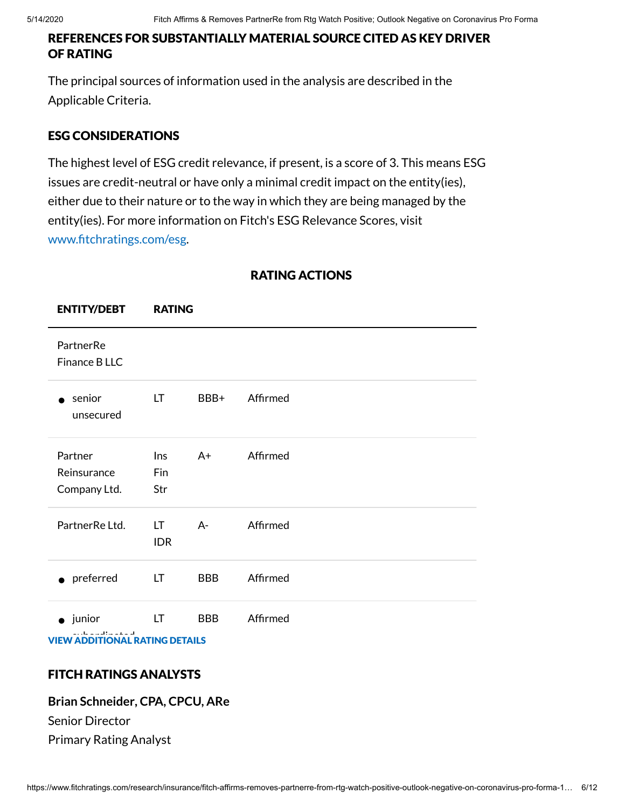# REFERENCES FOR SUBSTANTIALLY MATERIAL SOURCE CITED AS KEY DRIVER OF RATING

The principal sources of information used in the analysis are described in the Applicable Criteria.

# ESG CONSIDERATIONS

The highest level of ESG credit relevance, if present, is a score of 3. This means ESG issues are credit-neutral or have only a minimal credit impact on the entity(ies), either due to their nature or to the way in which they are being managed by the entity(ies). For more information on Fitch's ESG Relevance Scores, visit [www.fitchratings.com/esg.](http://www.fitchratings.com/esg)

| <b>ENTITY/DEBT</b>                                                                | <b>RATING</b>     |            |          |  |
|-----------------------------------------------------------------------------------|-------------------|------------|----------|--|
| PartnerRe<br>Finance B LLC                                                        |                   |            |          |  |
| senior<br>unsecured                                                               | LT                | BBB+       | Affirmed |  |
| Partner<br>Reinsurance<br>Company Ltd.                                            | Ins<br>Fin<br>Str | $A+$       | Affirmed |  |
| PartnerRe Ltd.                                                                    | LT<br><b>IDR</b>  | $A -$      | Affirmed |  |
| • preferred                                                                       | LT.               | <b>BBB</b> | Affirmed |  |
| $\bullet$ junior<br>المستقلب وبالقائد والملامية<br>VIEW ADDITIONAL DATING DETAILS | LT.               | <b>BBB</b> | Affirmed |  |

# RATING ACTIONS

VIEW ADDITIONAL RATING DETAILS

# FITCH RATINGS ANALYSTS

# **Brian Schneider, CPA, CPCU, ARe**

Senior Director

Primary Rating Analyst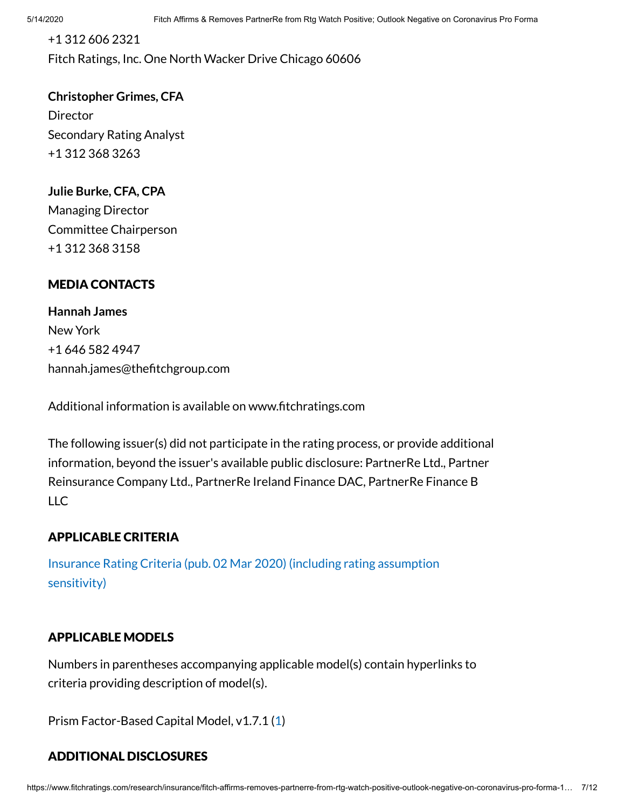+1 312 606 2321 Fitch Ratings, Inc. One North Wacker Drive Chicago 60606

**Christopher Grimes, CFA** Director Secondary Rating Analyst

+1 312 368 3263

#### **Julie Burke, CFA, CPA**

Managing Director Committee Chairperson +1 312 368 3158

#### MEDIA CONTACTS

#### **Hannah James**

New York +1 646 582 4947 hannah.james@thefitchgroup.com

Additional information is available on www.fitchratings.com

The following issuer(s) did not participate in the rating process, or provide additional information, beyond the issuer's available public disclosure: PartnerRe Ltd., Partner Reinsurance Company Ltd., PartnerRe Ireland Finance DAC, PartnerRe Finance B LLC

# APPLICABLE CRITERIA

Insurance Rating Criteria (pub. 02 Mar 2020) (including rating [assumption](https://www.fitchratings.com/research/insurance/insurance-rating-criteria-02-03-2020) sensitivity)

#### APPLICABLE MODELS

Numbers in parentheses accompanying applicable model(s) contain hyperlinks to criteria providing description of model(s).

Prism Factor-Based Capital Model, v1.7.1 [\(1](https://www.fitchratings.com/site/re/969155))

# ADDITIONAL DISCLOSURES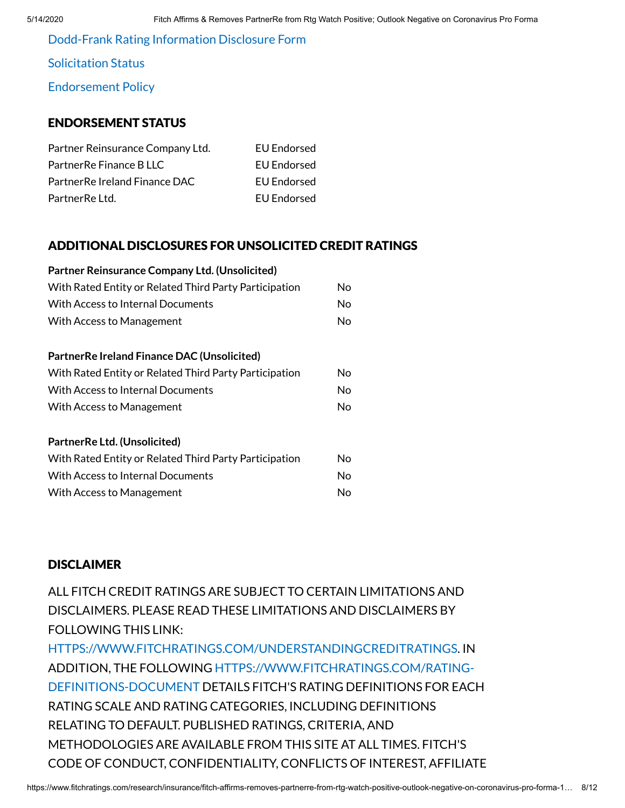[Dodd-Frank](https://www.fitchratings.com/research/insurance/fitch-affirms-removes-partnerre-from-rtg-watch-positive-outlook-negative-on-coronavirus-pro-forma-14-05-2020/dodd-frank-disclosure) Rating Information Disclosure Form

[Solicitation](#page-10-0) Status

[Endorsement](https://www.fitchratings.com/regulatory) Policy

#### ENDORSEMENT STATUS

| Partner Reinsurance Company Ltd. | <b>EU Endorsed</b> |
|----------------------------------|--------------------|
| PartnerRe Finance B LLC          | <b>FU</b> Fndorsed |
| PartnerRe Ireland Finance DAC    | <b>FU</b> Fndorsed |
| PartnerRe Ltd.                   | <b>FU</b> Fndorsed |

### ADDITIONAL DISCLOSURES FOR UNSOLICITED CREDIT RATINGS

| <b>Partner Reinsurance Company Ltd. (Unsolicited)</b>  |     |
|--------------------------------------------------------|-----|
| With Rated Entity or Related Third Party Participation | No. |
| With Access to Internal Documents                      | No. |
| With Access to Management                              | No. |
| Partner Re Ireland Finance DAC (Unsolicited)           |     |
| With Rated Entity or Related Third Party Participation | No. |
| With Access to Internal Documents                      | No  |
| With Access to Management                              | No. |
| PartnerRe Ltd. (Unsolicited)                           |     |
| With Rated Entity or Related Third Party Participation | No  |
| With Access to Internal Documents                      | No  |
| With Access to Management                              | No  |

#### DISCLAIMER

ALL FITCH CREDIT RATINGS ARE SUBJECT TO CERTAIN LIMITATIONS AND DISCLAIMERS. PLEASE READ THESE LIMITATIONS AND DISCLAIMERS BY FOLLOWING THIS LINK:

[HTTPS://WWW.FITCHRATINGS.COM/UNDERSTANDINGCREDITRATINGS](https://www.fitchratings.com/UNDERSTANDINGCREDITRATINGS). IN ADDITION, THE FOLLOWING [HTTPS://WWW.FITCHRATINGS.COM/RATING-](https://www.fitchratings.com/rating-definitions-document)DEFINITIONS-DOCUMENT DETAILS FITCH'S RATING DEFINITIONS FOR EACH RATING SCALE AND RATING CATEGORIES, INCLUDING DEFINITIONS RELATING TO DEFAULT. PUBLISHED RATINGS, CRITERIA, AND METHODOLOGIES ARE AVAILABLE FROM THIS SITE AT ALL TIMES. FITCH'S CODE OF CONDUCT, CONFIDENTIALITY, CONFLICTS OF INTEREST, AFFILIATE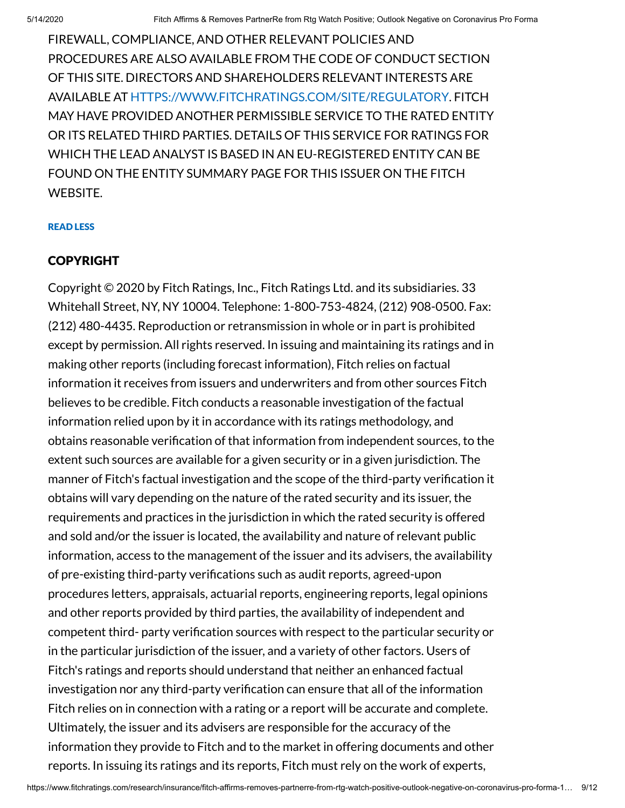FIREWALL, COMPLIANCE, AND OTHER RELEVANT POLICIES AND PROCEDURES ARE ALSO AVAILABLE FROM THE CODE OF CONDUCT SECTION OF THIS SITE. DIRECTORS AND SHAREHOLDERS RELEVANT INTERESTS ARE AVAILABLE AT [HTTPS://WWW.FITCHRATINGS.COM/SITE/REGULATORY](https://www.fitchratings.com/site/regulatory). FITCH MAY HAVE PROVIDED ANOTHER PERMISSIBLE SERVICE TO THE RATED ENTITY OR ITS RELATED THIRD PARTIES. DETAILS OF THIS SERVICE FOR RATINGS FOR WHICH THE LEAD ANALYST IS BASED IN AN EU-REGISTERED ENTITY CAN BE FOUND ON THE ENTITY SUMMARY PAGE FOR THIS ISSUER ON THE FITCH WEBSITE.

#### READ LESS

#### COPYRIGHT

Copyright © 2020 by Fitch Ratings, Inc., Fitch Ratings Ltd. and its subsidiaries. 33 Whitehall Street, NY, NY 10004. Telephone: 1-800-753-4824, (212) 908-0500. Fax: (212) 480-4435. Reproduction or retransmission in whole or in part is prohibited except by permission. All rights reserved. In issuing and maintaining its ratings and in making other reports (including forecast information), Fitch relies on factual information it receives from issuers and underwriters and from other sources Fitch believes to be credible. Fitch conducts a reasonable investigation of the factual information relied upon by it in accordance with its ratings methodology, and obtains reasonable verification of that information from independent sources, to the extent such sources are available for a given security or in a given jurisdiction. The manner of Fitch's factual investigation and the scope of the third-party verification it obtains will vary depending on the nature of the rated security and its issuer, the requirements and practices in the jurisdiction in which the rated security is offered and sold and/or the issuer is located, the availability and nature of relevant public information, access to the management of the issuer and its advisers, the availability of pre-existing third-party verifications such as audit reports, agreed-upon procedures letters, appraisals, actuarial reports, engineering reports, legal opinions and other reports provided by third parties, the availability of independent and competent third- party verification sources with respect to the particular security or in the particular jurisdiction of the issuer, and a variety of other factors. Users of Fitch's ratings and reports should understand that neither an enhanced factual investigation nor any third-party verification can ensure that all of the information Fitch relies on in connection with a rating or a report will be accurate and complete. Ultimately, the issuer and its advisers are responsible for the accuracy of the information they provide to Fitch and to the market in offering documents and other reports. In issuing its ratings and its reports, Fitch must rely on the work of experts,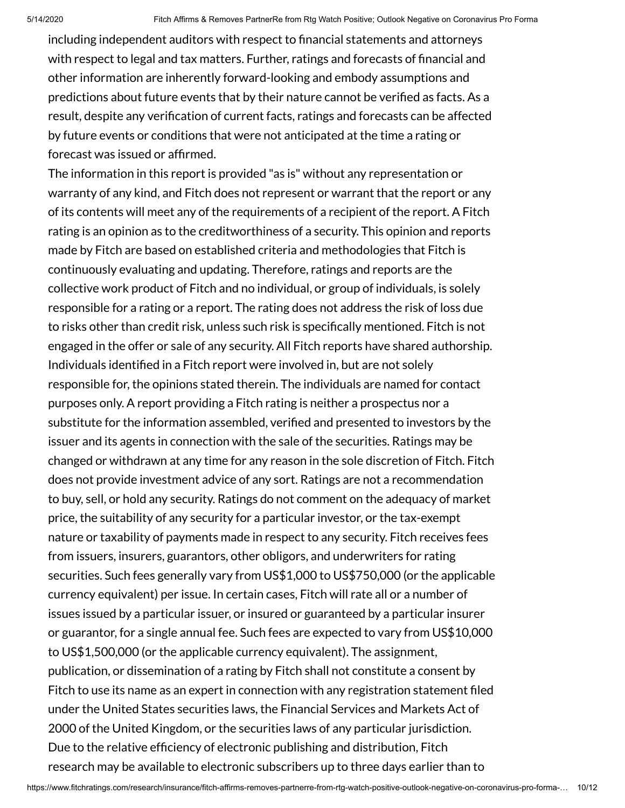including independent auditors with respect to financial statements and attorneys with respect to legal and tax matters. Further, ratings and forecasts of financial and other information are inherently forward-looking and embody assumptions and predictions about future events that by their nature cannot be verified as facts. As a result, despite any verification of current facts, ratings and forecasts can be affected by future events or conditions that were not anticipated at the time a rating or forecast was issued or affirmed.

The information in this report is provided "as is" without any representation or warranty of any kind, and Fitch does not represent or warrant that the report or any of its contents will meet any of the requirements of a recipient of the report. A Fitch rating is an opinion as to the creditworthiness of a security. This opinion and reports made by Fitch are based on established criteria and methodologies that Fitch is continuously evaluating and updating. Therefore, ratings and reports are the collective work product of Fitch and no individual, or group of individuals, is solely responsible for a rating or a report. The rating does not address the risk of loss due to risks other than credit risk, unless such risk is specifically mentioned. Fitch is not engaged in the offer or sale of any security. All Fitch reports have shared authorship. Individuals identified in a Fitch report were involved in, but are not solely responsible for, the opinions stated therein. The individuals are named for contact purposes only. A report providing a Fitch rating is neither a prospectus nor a substitute for the information assembled, verified and presented to investors by the issuer and its agents in connection with the sale of the securities. Ratings may be changed or withdrawn at any time for any reason in the sole discretion of Fitch. Fitch does not provide investment advice of any sort. Ratings are not a recommendation to buy, sell, or hold any security. Ratings do not comment on the adequacy of market price, the suitability of any security for a particular investor, or the tax-exempt nature or taxability of payments made in respect to any security. Fitch receives fees from issuers, insurers, guarantors, other obligors, and underwriters for rating securities. Such fees generally vary from US\$1,000 to US\$750,000 (or the applicable currency equivalent) per issue. In certain cases, Fitch will rate all or a number of issues issued by a particular issuer, or insured or guaranteed by a particular insurer or guarantor, for a single annual fee. Such fees are expected to vary from US\$10,000 to US\$1,500,000 (or the applicable currency equivalent). The assignment, publication, or dissemination of a rating by Fitch shall not constitute a consent by Fitch to use its name as an expert in connection with any registration statement filed under the United States securities laws, the Financial Services and Markets Act of 2000 of the United Kingdom, or the securities laws of any particular jurisdiction. Due to the relative efficiency of electronic publishing and distribution, Fitch research may be available to electronic subscribers up to three days earlier than to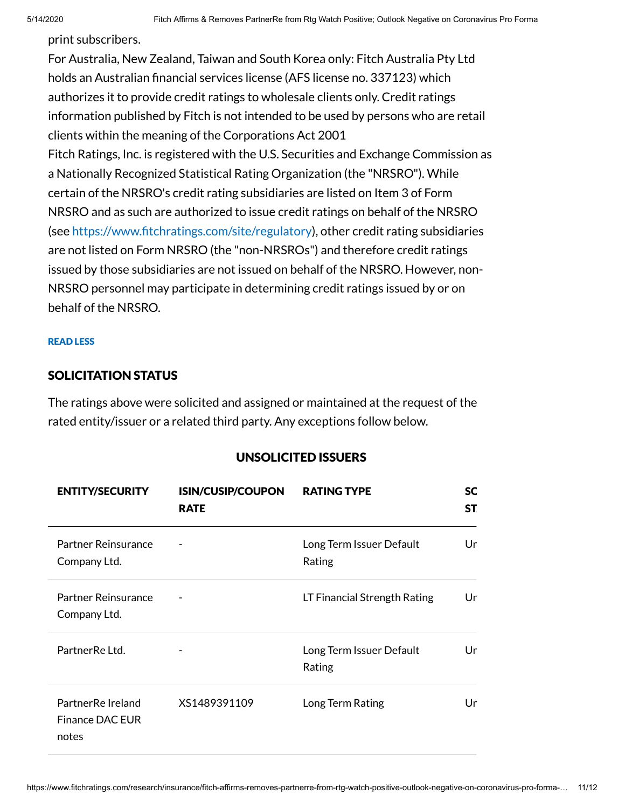print subscribers.

For Australia, New Zealand, Taiwan and South Korea only: Fitch Australia Pty Ltd holds an Australian financial services license (AFS license no. 337123) which authorizes it to provide credit ratings to wholesale clients only. Credit ratings information published by Fitch is not intended to be used by persons who are retail clients within the meaning of the Corporations Act 2001 Fitch Ratings, Inc. is registered with the U.S. Securities and Exchange Commission as a Nationally Recognized Statistical Rating Organization (the "NRSRO"). While certain of the NRSRO's credit rating subsidiaries are listed on Item 3 of Form NRSRO and as such are authorized to issue credit ratings on behalf of the NRSRO (see [https://www.fitchratings.com/site/regulatory\)](https://www.fitchratings.com/site/regulatory), other credit rating subsidiaries are not listed on Form NRSRO (the "non-NRSROs") and therefore credit ratings issued by those subsidiaries are not issued on behalf of the NRSRO. However, non-NRSRO personnel may participate in determining credit ratings issued by or on behalf of the NRSRO.

#### READ LESS

# <span id="page-10-0"></span>SOLICITATION STATUS

The ratings above were solicited and assigned or maintained at the request of the rated entity/issuer or a related third party. Any exceptions follow below.

| <b>ENTITY/SECURITY</b>                               | <b>ISIN/CUSIP/COUPON</b><br><b>RATE</b> | <b>RATING TYPE</b>                 | SC<br>ST. |
|------------------------------------------------------|-----------------------------------------|------------------------------------|-----------|
| Partner Reinsurance<br>Company Ltd.                  |                                         | Long Term Issuer Default<br>Rating | Ur        |
| Partner Reinsurance<br>Company Ltd.                  |                                         | LT Financial Strength Rating       | Ur        |
| PartnerRe Ltd.                                       |                                         | Long Term Issuer Default<br>Rating | Ur        |
| PartnerRe Ireland<br><b>Finance DAC FUR</b><br>notes | XS1489391109                            | Long Term Rating                   | Ur        |

#### UNSOLICITED ISSUERS